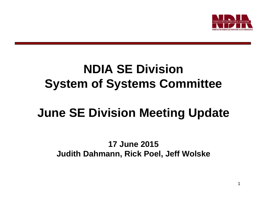

## **NDIA SE Division System of Systems Committee**

# **June SE Division Meeting Update**

#### **17 June 2015Judith Dahmann, Rick Poel, Jeff Wolske**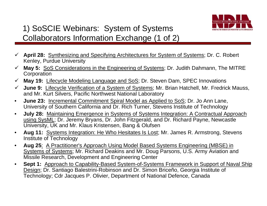

## 1) SoSCIE Webinars: System of Systems Collaborators Information Exchange (1 of 2)

- **April 28:** Synthesizing and Specifying Architectures for System of Systems; Dr. C. Robert Kenley, Purdue University
- **May 5:** SoS Considerations in the Engineering of Systems; Dr. Judith Dahmann, The MITRE **Corporation**
- **May 19:** Lifecycle Modeling Language and SoS; Dr. Steven Dam, SPEC Innovations
- **June 9:** Lifecycle Verification of a System of Systems; Mr. Brian Hatchell, Mr. Fredrick Mauss, and Mr. Kurt Silvers, Pacific Northwest National Laboratory
- • **June 23:** Incremental Commitment Spiral Model as Applied to SoS; Dr. Jo Ann Lane, University of Southern California and Dr. Rich Turner, Stevens Institute of Technology
- $\bullet$  **July 28:** Maintaining Emergence in Systems of Systems Integration: A Contractual Approach using SysML; Dr. Jeremy Bryans, Dr. John Fitzgerald, and Dr. Richard Payne, Newcastle University, UK and Mr. Klaus Kristensen, Bang & Olufsen
- • **Aug 11:** Systems Integration: He Who Hesitates Is Lost; Mr. James R. Armstrong, Stevens Institute of Technology
- $\bullet$  **Aug 25**: A Practitioner's Approach Using Model Based Systems Engineering (MBSE) in Systems of Systems; Mr. Richard Deakins and Mr. Doug Parsons, U.S. Army Aviation and Missile Research, Development and Engineering Center
- $\bullet$ **Sept 1:** Approach to Capability-Based System-of-Systems Framework in Support of Naval Ship Design; Dr. Santiago Balestrini-Robinson and Dr. Simon Briceño, Georgia Institute of Technology; Cdr Jacques P. Olivier, Department of National Defence, Canada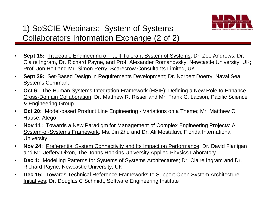

## 1) SoSCIE Webinars: System of Systems Collaborators Information Exchange (2 of 2)

- • **Sept 15:** Traceable Engineering of Fault-Tolerant System of Systems; Dr. Zoe Andrews, Dr. Claire Ingram, Dr. Richard Payne, and Prof. Alexander Romanovsky, Newcastle University, UK; Prof. Jon Holt and Mr. Simon Perry, Scarecrow Consultants Limited, UK
- $\bullet$  **Sept 29:** Set-Based Design in Requirements Development; Dr. Norbert Doerry, Naval Sea Systems Command
- $\bullet$ **Oct 6:** The Human Systems Integration Framework (HSIF): Defining a New Role to Enhance Cross-Domain Collaboration; Dr. Matthew R. Risser and Mr. Frank C. Lacson, Pacific Science & Engineering Group
- • **Oct 20:** Model-based Product Line Engineering - Variations on a Theme; Mr. Matthew C. Hause, Atego
- $\bullet$  **Nov 11:** Towards a New Paradigm for Management of Complex Engineering Projects: A System-of-Systems Framework; Ms. Jin Zhu and Dr. Ali Mostafavi, Florida International **University**
- $\bullet$  **Nov 24:** Preferential System Connectivity and Its Impact on Performance; Dr. David Flanigan and Mr. Jeffery Dixon, The Johns Hopkins University Applied Physics Laboratory
- • **Dec 1:** Modelling Patterns for Systems of Systems Architectures; Dr. Claire Ingram and Dr. Richard Payne, Newcastle University, UK
- $\bullet$  **Dec 15:** Towards Technical Reference Frameworks to Support Open System Architecture Initiatives; Dr. Douglas C Schmidt, Software Engineering Institute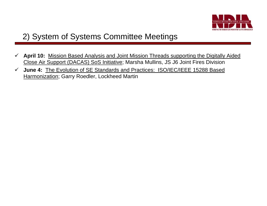

## 2) System of Systems Committee Meetings

- $\checkmark$  **April 10:** Mission Based Analysis and Joint Mission Threads supporting the Digitally Aided Close Air Support (DACAS) SoS Initiative; Marsha Mullins, JS J6 Joint Fires Division
- $\checkmark$  **June 4:** The Evolution of SE Standards and Practices: ISO/IEC/IEEE 15288 Based Harmonization; Garry Roedler, Lockheed Martin